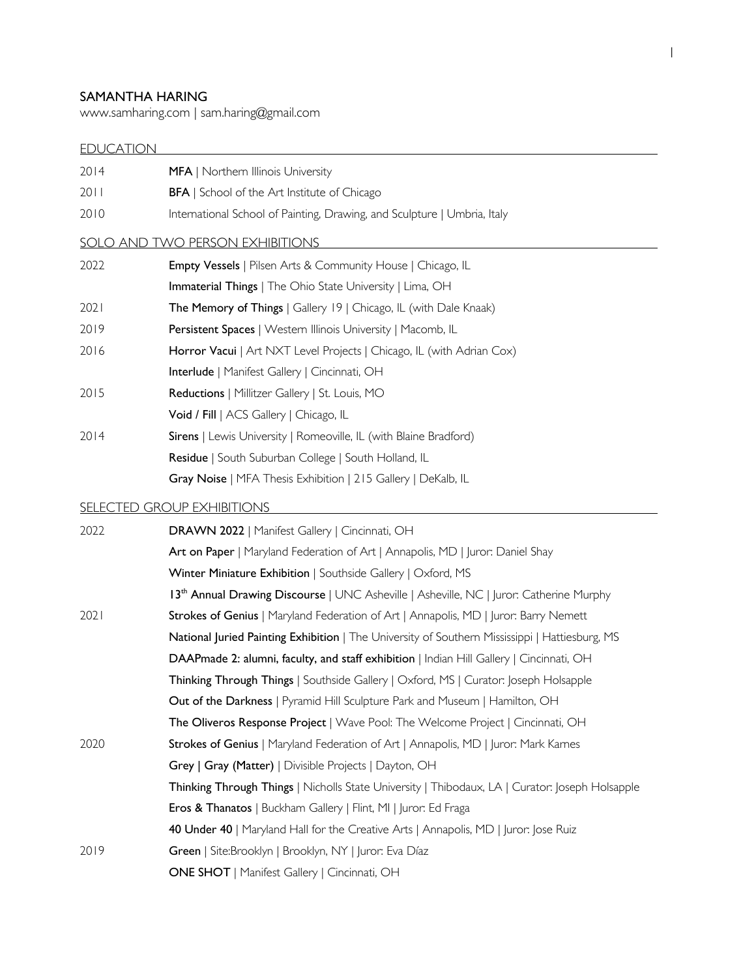### SAMANTHA HARING

www.samharing.com | sam.haring@gmail.com

# EDUCATION

| 2014 | MFA   Northern Illinois University                                                              |
|------|-------------------------------------------------------------------------------------------------|
| 2011 | <b>BFA</b>   School of the Art Institute of Chicago                                             |
| 2010 | International School of Painting, Drawing, and Sculpture   Umbria, Italy                        |
|      | SOLO AND TWO PERSON EXHIBITIONS                                                                 |
| 2022 | <b>Empty Vessels</b>   Pilsen Arts & Community House   Chicago, IL                              |
|      | Immaterial Things   The Ohio State University   Lima, OH                                        |
| 2021 | The Memory of Things   Gallery 19   Chicago, IL (with Dale Knaak)                               |
| 2019 | Persistent Spaces   Western Illinois University   Macomb, IL                                    |
| 2016 | Horror Vacui   Art NXT Level Projects   Chicago, IL (with Adrian Cox)                           |
|      | Interlude   Manifest Gallery   Cincinnati, OH                                                   |
| 2015 | Reductions   Millitzer Gallery   St. Louis, MO                                                  |
|      | Void / Fill   ACS Gallery   Chicago, IL                                                         |
| 2014 | Sirens   Lewis University   Romeoville, IL (with Blaine Bradford)                               |
|      | Residue   South Suburban College   South Holland, IL                                            |
|      | Gray Noise   MFA Thesis Exhibition   215 Gallery   DeKalb, IL                                   |
|      | <b>SELECTED GROUP EXHIBITIONS</b>                                                               |
| 2022 | DRAWN 2022   Manifest Gallery   Cincinnati, OH                                                  |
|      | Art on Paper   Maryland Federation of Art   Annapolis, MD   Juror: Daniel Shay                  |
|      | Winter Miniature Exhibition   Southside Gallery   Oxford, MS                                    |
|      | 13th Annual Drawing Discourse   UNC Asheville   Asheville, NC   Juror: Catherine Murphy         |
| 2021 | Strokes of Genius   Maryland Federation of Art   Annapolis, MD   Juror: Barry Nemett            |
|      | National Juried Painting Exhibition   The University of Southern Mississippi   Hattiesburg, MS  |
|      | DAAPmade 2: alumni, faculty, and staff exhibition   Indian Hill Gallery   Cincinnati, OH        |
|      | Thinking Through Things   Southside Gallery   Oxford, MS   Curator: Joseph Holsapple            |
|      | Out of the Darkness   Pyramid Hill Sculpture Park and Museum   Hamilton, OH                     |
|      | The Oliveros Response Project   Wave Pool: The Welcome Project   Cincinnati, OH                 |
| 2020 | Strokes of Genius   Maryland Federation of Art   Annapolis, MD   Juror: Mark Karnes             |
|      | Grey   Gray (Matter)   Divisible Projects   Dayton, OH                                          |
|      | Thinking Through Things   Nicholls State University   Thibodaux, LA   Curator: Joseph Holsapple |
|      | Eros & Thanatos   Buckham Gallery   Flint, MI   Juror: Ed Fraga                                 |
|      | 40 Under 40   Maryland Hall for the Creative Arts   Annapolis, MD   Juror: Jose Ruiz            |
| 2019 | Green   Site:Brooklyn   Brooklyn, NY   Juror: Eva Díaz                                          |
|      | <b>ONE SHOT</b>   Manifest Gallery   Cincinnati, OH                                             |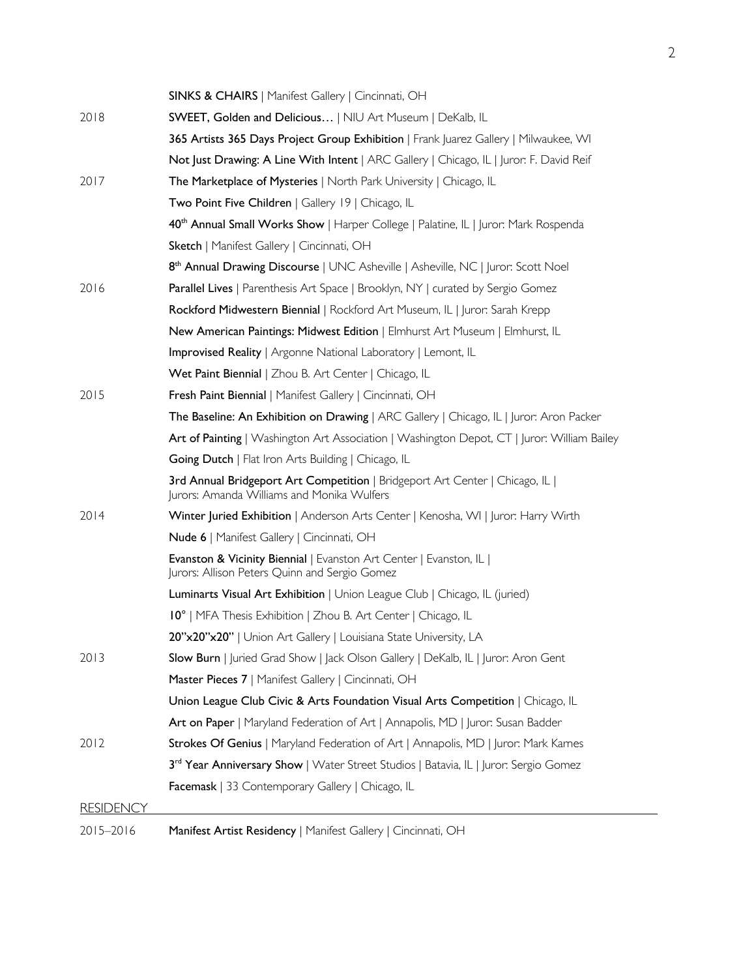|                  | SINKS & CHAIRS   Manifest Gallery   Cincinnati, OH                                                                              |
|------------------|---------------------------------------------------------------------------------------------------------------------------------|
| 2018             | SWEET, Golden and Delicious   NIU Art Museum   DeKalb, IL                                                                       |
|                  | 365 Artists 365 Days Project Group Exhibition   Frank  uarez Gallery   Milwaukee, WI                                            |
|                  | Not Just Drawing: A Line With Intent   ARC Gallery   Chicago, IL   Juror: F. David Reif                                         |
| 2017             | <b>The Marketplace of Mysteries</b>   North Park University   Chicago, IL                                                       |
|                  | Two Point Five Children   Gallery 19   Chicago, IL                                                                              |
|                  | 40 <sup>th</sup> Annual Small Works Show   Harper College   Palatine, IL   Juror: Mark Rospenda                                 |
|                  | Sketch   Manifest Gallery   Cincinnati, OH                                                                                      |
|                  | 8 <sup>th</sup> Annual Drawing Discourse   UNC Asheville   Asheville, NC   Juror: Scott Noel                                    |
| 2016             | <b>Parallel Lives</b>   Parenthesis Art Space   Brooklyn, NY   curated by Sergio Gomez                                          |
|                  | Rockford Midwestern Biennial   Rockford Art Museum, IL   Juror: Sarah Krepp                                                     |
|                  | New American Paintings: Midwest Edition   Elmhurst Art Museum   Elmhurst, IL                                                    |
|                  | <b>Improvised Reality</b>   Argonne National Laboratory   Lemont, IL                                                            |
|                  | Wet Paint Biennial   Zhou B. Art Center   Chicago, IL                                                                           |
| 2015             | Fresh Paint Biennial   Manifest Gallery   Cincinnati, OH                                                                        |
|                  | <b>The Baseline: An Exhibition on Drawing</b>   ARC Gallery   Chicago, IL   Juror: Aron Packer                                  |
|                  | Art of Painting   Washington Art Association   Washington Depot, CT   Juror: William Bailey                                     |
|                  | <b>Going Dutch</b>   Flat Iron Arts Building   Chicago, IL                                                                      |
|                  | 3rd Annual Bridgeport Art Competition   Bridgeport Art Center   Chicago, IL  <br>Jurors: Amanda Williams and Monika Wulfers     |
| 2014             | Winter Juried Exhibition   Anderson Arts Center   Kenosha, WI   Juror: Harry Wirth                                              |
|                  | Nude 6   Manifest Gallery   Cincinnati, OH                                                                                      |
|                  | <b>Evanston &amp; Vicinity Biennial</b>   Evanston Art Center   Evanston, IL  <br>Jurors: Allison Peters Quinn and Sergio Gomez |
|                  | Luminarts Visual Art Exhibition   Union League Club   Chicago, IL (juried)                                                      |
|                  | 10°   MFA Thesis Exhibition   Zhou B. Art Center   Chicago, IL                                                                  |
|                  | 20"x20"x20"   Union Art Gallery   Louisiana State University, LA                                                                |
| 2013             | Slow Burn   Juried Grad Show   Jack Olson Gallery   DeKalb, IL   Juror: Aron Gent                                               |
|                  | Master Pieces 7   Manifest Gallery   Cincinnati, OH                                                                             |
|                  | Union League Club Civic & Arts Foundation Visual Arts Competition   Chicago, IL                                                 |
|                  | Art on Paper   Maryland Federation of Art   Annapolis, MD   Juror: Susan Badder                                                 |
| 2012             | Strokes Of Genius   Maryland Federation of Art   Annapolis, MD   Juror: Mark Karnes                                             |
|                  | 3rd Year Anniversary Show   Water Street Studios   Batavia, IL   Juror: Sergio Gomez                                            |
|                  | Facemask   33 Contemporary Gallery   Chicago, IL                                                                                |
| <b>RESIDENCY</b> |                                                                                                                                 |
| 2015-2016        | Manifest Artist Residency   Manifest Gallery   Cincinnati, OH                                                                   |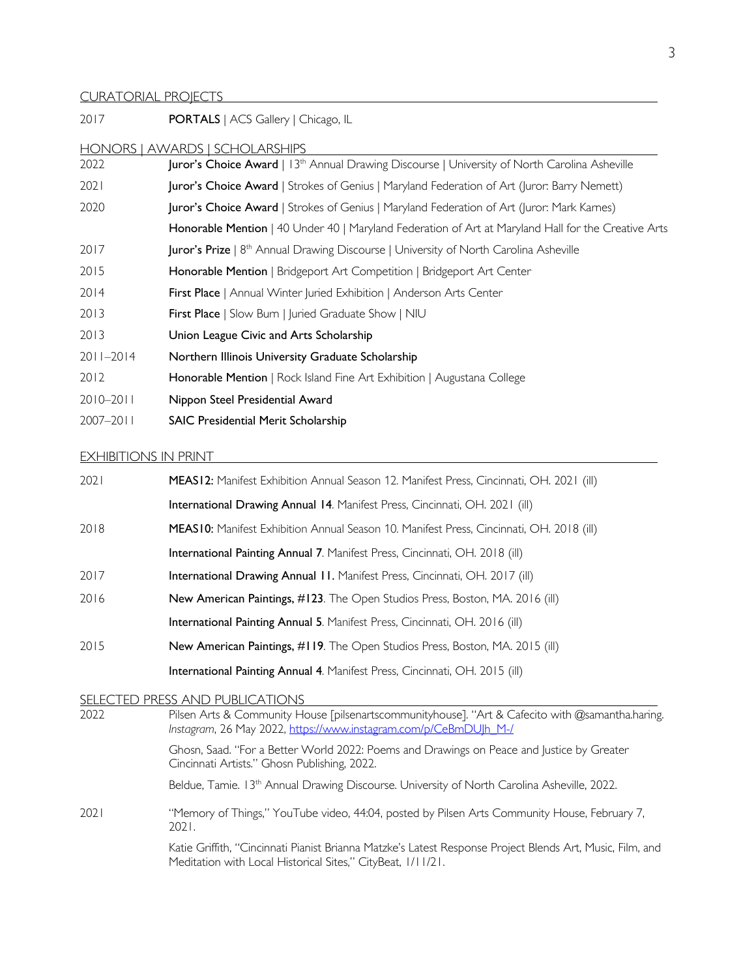### CURATORIAL PROJECTS

| 2017          | <b>PORTALS</b>   ACS Gallery   Chicago, IL                                                                       |
|---------------|------------------------------------------------------------------------------------------------------------------|
|               | HONORS   AWARDS   SCHOLARSHIPS                                                                                   |
| 2022          | <b>Juror's Choice Award</b>   13 <sup>th</sup> Annual Drawing Discourse   University of North Carolina Asheville |
| 2021          | Juror's Choice Award   Strokes of Genius   Maryland Federation of Art (Juror: Barry Nemett)                      |
| 2020          | Juror's Choice Award   Strokes of Genius   Maryland Federation of Art (Juror: Mark Karnes)                       |
|               | Honorable Mention   40 Under 40   Maryland Federation of Art at Maryland Hall for the Creative Arts              |
| 2017          | <b>Juror's Prize</b>   8 <sup>th</sup> Annual Drawing Discourse   University of North Carolina Asheville         |
| 2015          | <b>Honorable Mention</b>   Bridgeport Art Competition   Bridgeport Art Center                                    |
| 2014          | First Place   Annual Winter Juried Exhibition   Anderson Arts Center                                             |
| 2013          | First Place   Slow Burn   Juried Graduate Show   NIU                                                             |
| 2013          | Union League Civic and Arts Scholarship                                                                          |
| $2011 - 2014$ | Northern Illinois University Graduate Scholarship                                                                |
| 2012          | Honorable Mention   Rock Island Fine Art Exhibition   Augustana College                                          |
| $2010 - 2011$ | Nippon Steel Presidential Award                                                                                  |
| $2007 - 2011$ | SAIC Presidential Merit Scholarship                                                                              |

## EXHIBITIONS IN PRINT

| 2021          | MEAS12: Manifest Exhibition Annual Season 12. Manifest Press, Cincinnati, OH. 2021 (ill)                                                                                 |
|---------------|--------------------------------------------------------------------------------------------------------------------------------------------------------------------------|
|               | International Drawing Annual 14. Manifest Press, Cincinnati, OH. 2021 (ill)                                                                                              |
| 2018          | MEAS10: Manifest Exhibition Annual Season 10. Manifest Press, Cincinnati, OH. 2018 (ill)                                                                                 |
|               | International Painting Annual 7. Manifest Press, Cincinnati, OH. 2018 (ill)                                                                                              |
| 2017          | International Drawing Annual II. Manifest Press, Cincinnati, OH. 2017 (ill)                                                                                              |
| 2016          | New American Paintings, #123. The Open Studios Press, Boston, MA. 2016 (ill)                                                                                             |
|               | International Painting Annual 5. Manifest Press, Cincinnati, OH. 2016 (ill)                                                                                              |
| 2015          | New American Paintings, #119. The Open Studios Press, Boston, MA. 2015 (ill)                                                                                             |
|               | International Painting Annual 4. Manifest Press, Cincinnati, OH. 2015 (ill)                                                                                              |
| <b>SELECT</b> | <b>ED PRESS AND PUBLICATIONS</b>                                                                                                                                         |
| 2022          | Pilsen Arts & Community House [pilsenartscommunityhouse]. "Art & Cafecito with @samantha.haring.<br>Instagram, 26 May 2022, https://www.instagram.com/p/CeBmDUJh_M-/     |
|               | Ghosn, Saad. "For a Better World 2022: Poems and Drawings on Peace and Justice by Greater<br>Cincinnati Artists." Ghosn Publishing, 2022.                                |
|               | Beldue, Tamie. 13 <sup>th</sup> Annual Drawing Discourse. University of North Carolina Asheville, 2022.                                                                  |
| 2021          | "Memory of Things," YouTube video, 44:04, posted by Pilsen Arts Community House, February 7,<br>2021.                                                                    |
|               | Katie Griffith, "Cincinnati Pianist Brianna Matzke's Latest Response Project Blends Art, Music, Film, and<br>Meditation with Local Historical Sites," CityBeat, 1/11/21. |